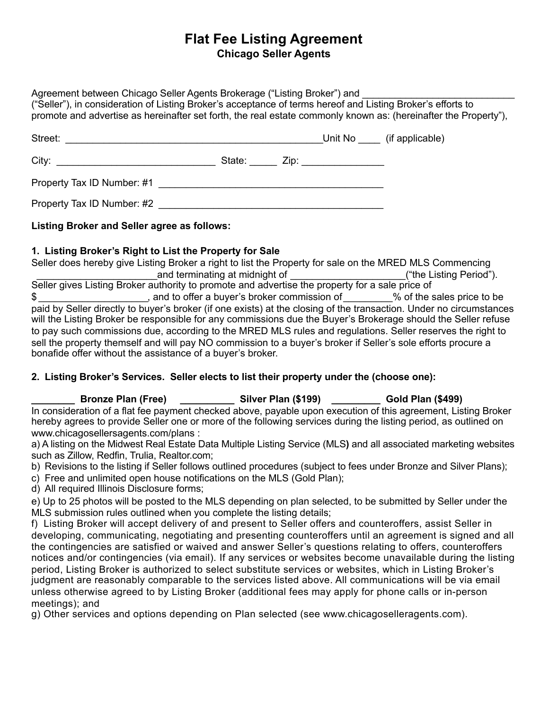# **Flat Fee Listing Agreement Chicago Seller Agents**

Agreement between Chicago Seller Agents Brokerage ("Listing Broker") and ("Seller"), in consideration of Listing Broker's acceptance of terms hereof and Listing Broker's efforts to promote and advertise as hereinafter set forth, the real estate commonly known as: (hereinafter the Property"),

| Street:<br><u> 1989 - Johann Stoff, amerikansk politiker (d. 1989)</u> |  |                                    | Unit No (if applicable) |
|------------------------------------------------------------------------|--|------------------------------------|-------------------------|
|                                                                        |  | State: _____ Zip: ________________ |                         |
|                                                                        |  |                                    |                         |
| Property Tax ID Number: #2                                             |  |                                    |                         |

## **Listing Broker and Seller agree as follows:**

#### **1. Listing Broker's Right to List the Property for Sale**

Seller does hereby give Listing Broker a right to list the Property for sale on the MRED MLS Commencing and terminating at midnight of  $($ "the Listing Period"). Seller gives Listing Broker authority to promote and advertise the property for a sale price of  $\text{\$}$   $\text{\_}$ paid by Seller directly to buyer's broker (if one exists) at the closing of the transaction. Under no circumstances will the Listing Broker be responsible for any commissions due the Buyer's Brokerage should the Seller refuse to pay such commissions due, according to the MRED MLS rules and regulations. Seller reserves the right to sell the property themself and will pay NO commission to a buyer's broker if Seller's sole efforts procure a bonafide offer without the assistance of a buyer's broker.

## **2. Listing Broker's Services. Seller elects to list their property under the (choose one):**

**Bronze Plan (Free) Cold Plan (\$199) Cold Plan (\$499) Gold Plan (\$499)** In consideration of a flat fee payment checked above, payable upon execution of this agreement, Listing Broker hereby agrees to provide Seller one or more of the following services during the listing period, as outlined on www.chicagosellersagents.com/plans :

a) A listing on the Midwest Real Estate Data Multiple Listing Service (MLS**)** and all associated marketing websites such as Zillow, Redfin, Trulia, Realtor.com;

b) Revisions to the listing if Seller follows outlined procedures (subject to fees under Bronze and Silver Plans);

c) Free and unlimited open house notifications on the MLS (Gold Plan);

d) All required Illinois Disclosure forms;

e) Up to 25 photos will be posted to the MLS depending on plan selected, to be submitted by Seller under the MLS submission rules outlined when you complete the listing details;

f) Listing Broker will accept delivery of and present to Seller offers and counteroffers, assist Seller in developing, communicating, negotiating and presenting counteroffers until an agreement is signed and all the contingencies are satisfied or waived and answer Seller's questions relating to offers, counteroffers notices and/or contingencies (via email). If any services or websites become unavailable during the listing period, Listing Broker is authorized to select substitute services or websites, which in Listing Broker's judgment are reasonably comparable to the services listed above. All communications will be via email unless otherwise agreed to by Listing Broker (additional fees may apply for phone calls or in-person meetings); and

g) Other services and options depending on Plan selected (see www.chicagoselleragents.com).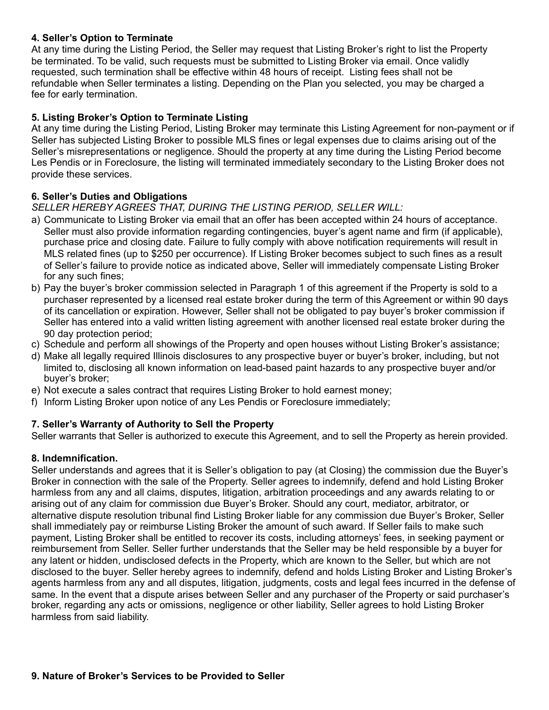#### **4. Seller's Option to Terminate**

At any time during the Listing Period, the Seller may request that Listing Broker's right to list the Property be terminated. To be valid, such requests must be submitted to Listing Broker via email. Once validly requested, such termination shall be effective within 48 hours of receipt. Listing fees shall not be refundable when Seller terminates a listing. Depending on the Plan you selected, you may be charged a fee for early termination.

#### **5. Listing Broker's Option to Terminate Listing**

At any time during the Listing Period, Listing Broker may terminate this Listing Agreement for non-payment or if Seller has subjected Listing Broker to possible MLS fines or legal expenses due to claims arising out of the Seller's misrepresentations or negligence. Should the property at any time during the Listing Period become Les Pendis or in Foreclosure, the listing will terminated immediately secondary to the Listing Broker does not provide these services.

#### **6. Seller's Duties and Obligations**

*SELLER HEREBY AGREES THAT, DURING THE LISTING PERIOD, SELLER WILL:* 

- a) Communicate to Listing Broker via email that an offer has been accepted within 24 hours of acceptance. Seller must also provide information regarding contingencies, buyer's agent name and firm (if applicable), purchase price and closing date. Failure to fully comply with above notification requirements will result in MLS related fines (up to \$250 per occurrence). If Listing Broker becomes subject to such fines as a result of Seller's failure to provide notice as indicated above, Seller will immediately compensate Listing Broker for any such fines;
- b) Pay the buyer's broker commission selected in Paragraph 1 of this agreement if the Property is sold to a purchaser represented by a licensed real estate broker during the term of this Agreement or within 90 days of its cancellation or expiration. However, Seller shall not be obligated to pay buyer's broker commission if Seller has entered into a valid written listing agreement with another licensed real estate broker during the 90 day protection period;
- c) Schedule and perform all showings of the Property and open houses without Listing Broker's assistance;
- d) Make all legally required Illinois disclosures to any prospective buyer or buyer's broker, including, but not limited to, disclosing all known information on lead-based paint hazards to any prospective buyer and/or buyer's broker;
- e) Not execute a sales contract that requires Listing Broker to hold earnest money;
- f) Inform Listing Broker upon notice of any Les Pendis or Foreclosure immediately;

## **7. Seller's Warranty of Authority to Sell the Property**

Seller warrants that Seller is authorized to execute this Agreement, and to sell the Property as herein provided.

## **8. Indemnification.**

Seller understands and agrees that it is Seller's obligation to pay (at Closing) the commission due the Buyer's Broker in connection with the sale of the Property. Seller agrees to indemnify, defend and hold Listing Broker harmless from any and all claims, disputes, litigation, arbitration proceedings and any awards relating to or arising out of any claim for commission due Buyer's Broker. Should any court, mediator, arbitrator, or alternative dispute resolution tribunal find Listing Broker liable for any commission due Buyer's Broker, Seller shall immediately pay or reimburse Listing Broker the amount of such award. If Seller fails to make such payment, Listing Broker shall be entitled to recover its costs, including attorneys' fees, in seeking payment or reimbursement from Seller. Seller further understands that the Seller may be held responsible by a buyer for any latent or hidden, undisclosed defects in the Property, which are known to the Seller, but which are not disclosed to the buyer. Seller hereby agrees to indemnify, defend and holds Listing Broker and Listing Broker's agents harmless from any and all disputes, litigation, judgments, costs and legal fees incurred in the defense of same. In the event that a dispute arises between Seller and any purchaser of the Property or said purchaser's broker, regarding any acts or omissions, negligence or other liability, Seller agrees to hold Listing Broker harmless from said liability.